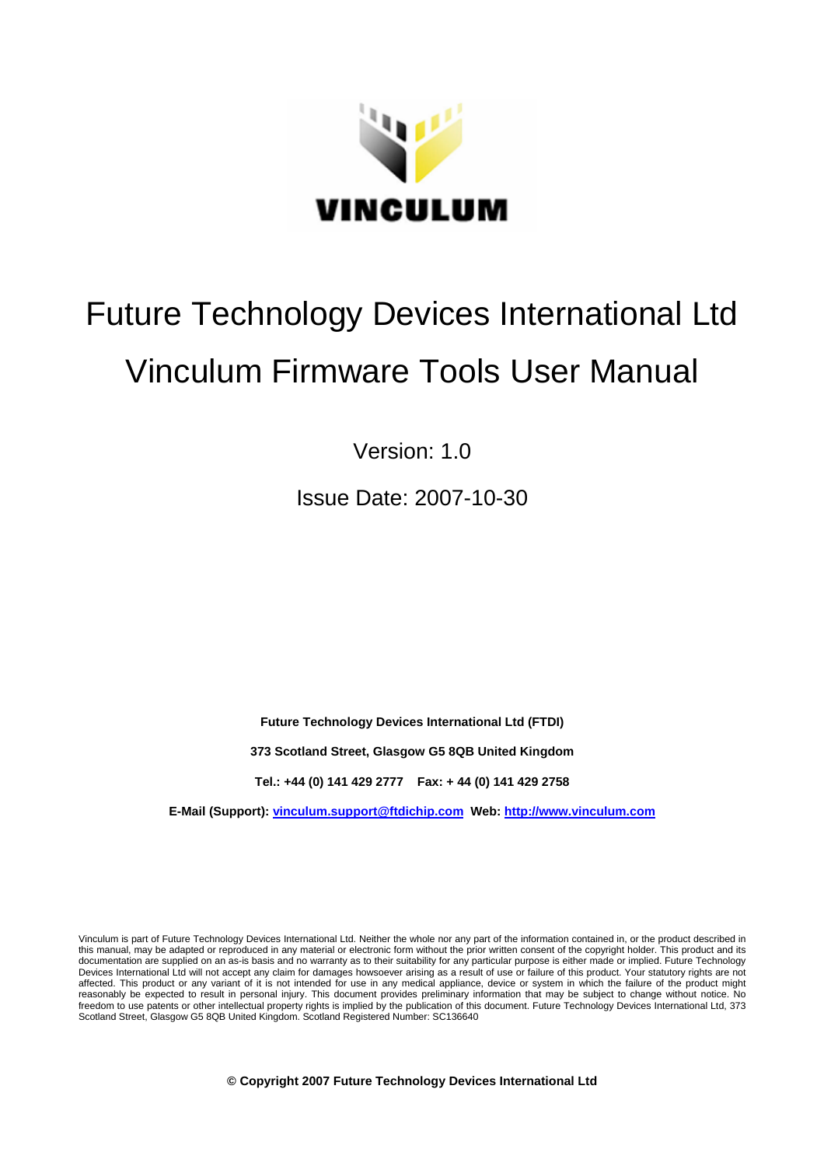

# Future Technology Devices International Ltd Vinculum Firmware Tools User Manual

Version: 1.0

Issue Date: 2007-10-30

**Future Technology Devices International Ltd (FTDI)** 

**373 Scotland Street, Glasgow G5 8QB United Kingdom** 

**Tel.: +44 (0) 141 429 2777 Fax: + 44 (0) 141 429 2758** 

**E-Mail (Support): vinculum.support@ftdichip.com Web: http://www.vinculum.com**

Vinculum is part of Future Technology Devices International Ltd. Neither the whole nor any part of the information contained in, or the product described in this manual, may be adapted or reproduced in any material or electronic form without the prior written consent of the copyright holder. This product and its documentation are supplied on an as-is basis and no warranty as to their suitability for any particular purpose is either made or implied. Future Technology documentation are supplied on an as-is basis and no warranty as t Devices International Ltd will not accept any claim for damages howsoever arising as a result of use or failure of this product. Your statutory rights are not affected. This product or any variant of it is not intended for use in any medical appliance, device or system in which the failure of the product might reasonably be expected to result in personal injury. This document provides preliminary information that may be subject to change without notice. No freedom to use patents or other intellectual property rights is implied by the publication of this document. Future Technology Devices International Ltd, 373 Scotland Street, Glasgow G5 8QB United Kingdom. Scotland Registered Number: SC136640

**© Copyright 2007 Future Technology Devices International Ltd**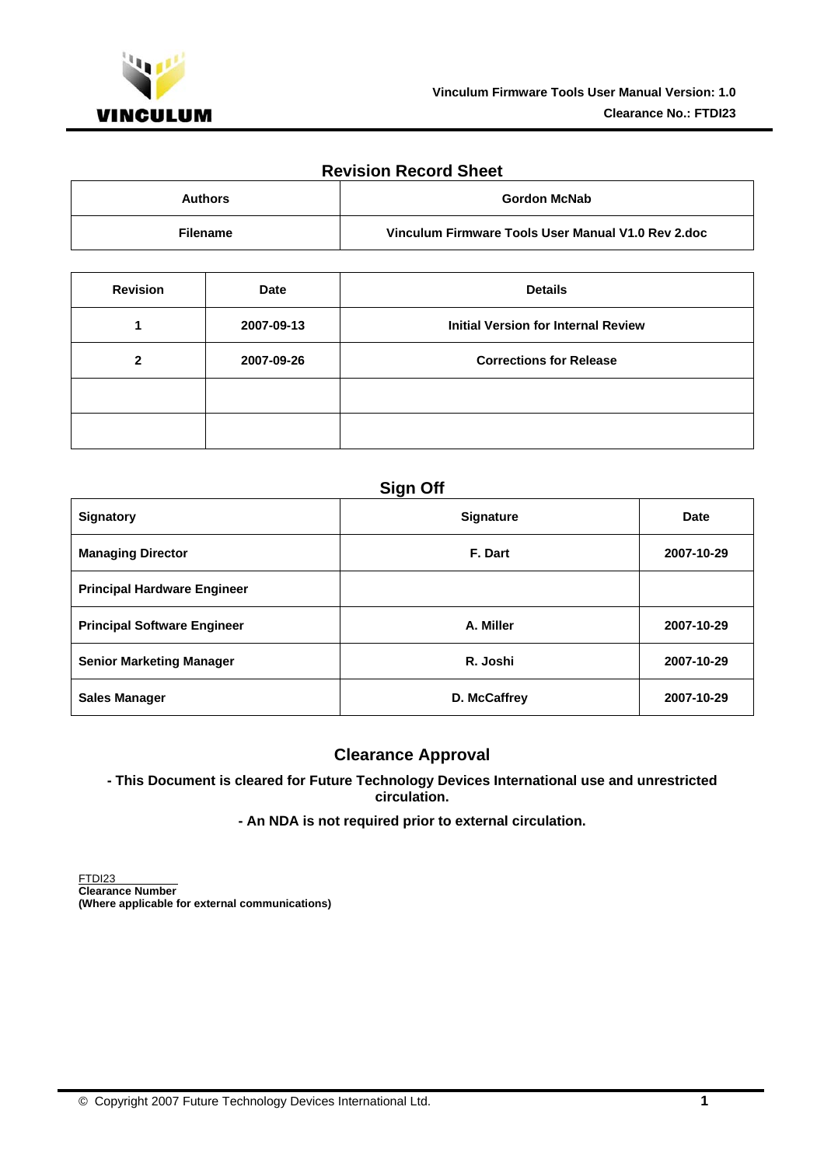

#### **Revision Record Sheet**

| <b>Authors</b>  | Gordon McNab                                       |
|-----------------|----------------------------------------------------|
| <b>Filename</b> | Vinculum Firmware Tools User Manual V1.0 Rev 2.doc |

| <b>Revision</b> | <b>Date</b> | <b>Details</b>                             |
|-----------------|-------------|--------------------------------------------|
|                 | 2007-09-13  | <b>Initial Version for Internal Review</b> |
| 2               | 2007-09-26  | <b>Corrections for Release</b>             |
|                 |             |                                            |
|                 |             |                                            |

## **Sign Off**

| <b>Signatory</b>                   | <b>Signature</b> | Date       |
|------------------------------------|------------------|------------|
| <b>Managing Director</b>           | F. Dart          | 2007-10-29 |
| <b>Principal Hardware Engineer</b> |                  |            |
| <b>Principal Software Engineer</b> | A. Miller        | 2007-10-29 |
| <b>Senior Marketing Manager</b>    | R. Joshi         | 2007-10-29 |
| <b>Sales Manager</b>               | D. McCaffrey     | 2007-10-29 |

## **Clearance Approval**

#### **- This Document is cleared for Future Technology Devices International use and unrestricted circulation.**

#### **- An NDA is not required prior to external circulation.**

FTDI23 **Clearance Number (Where applicable for external communications)**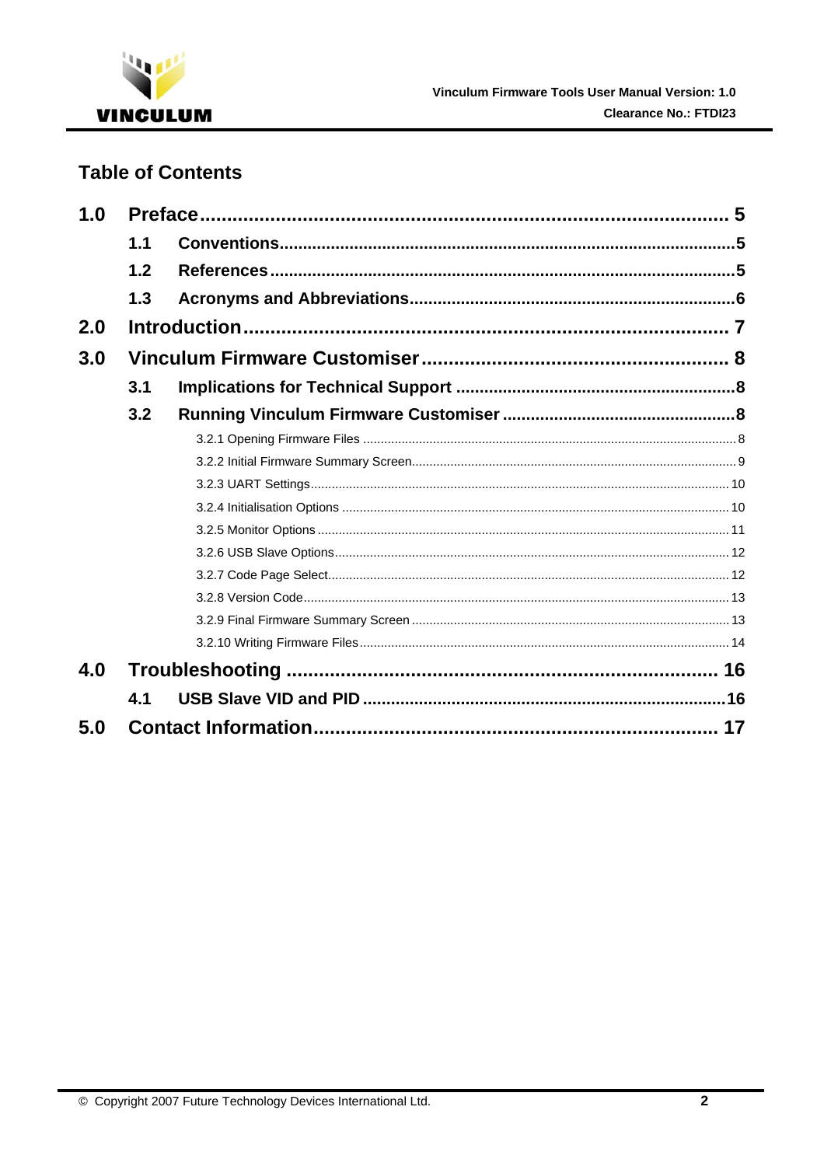

# **Table of Contents**

| 1.0 |     |  |
|-----|-----|--|
|     | 1.1 |  |
|     | 1.2 |  |
|     | 1.3 |  |
| 2.0 |     |  |
| 3.0 |     |  |
|     | 3.1 |  |
|     | 3.2 |  |
|     |     |  |
|     |     |  |
|     |     |  |
|     |     |  |
|     |     |  |
|     |     |  |
|     |     |  |
|     |     |  |
|     |     |  |
|     |     |  |
| 4.0 |     |  |
|     | 4.1 |  |
| 5.0 |     |  |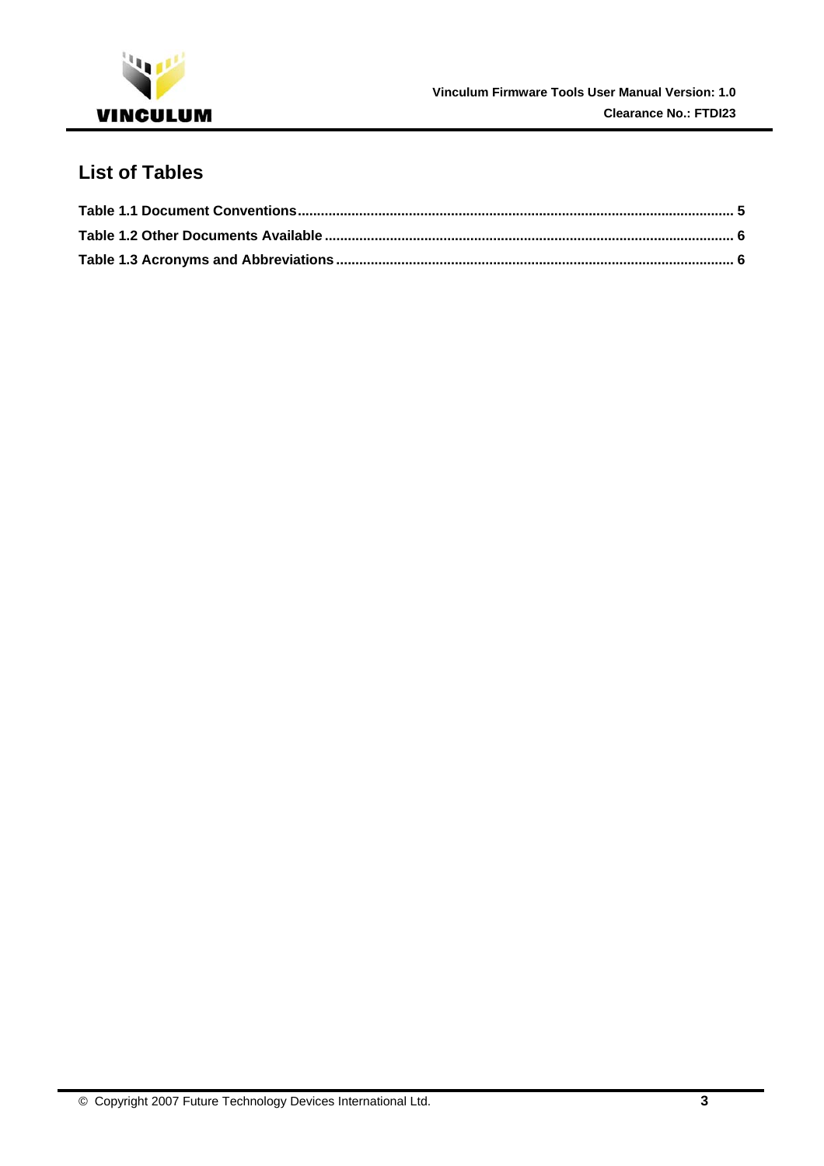

# **List of Tables**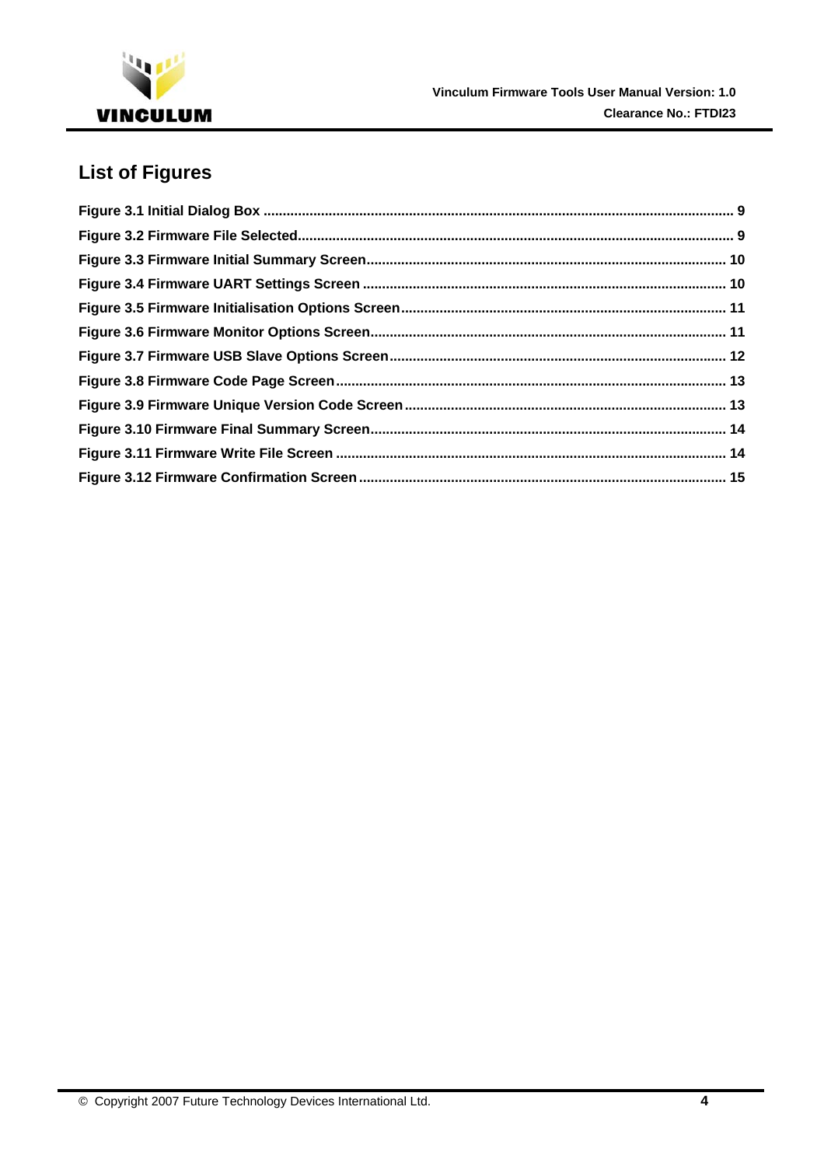

# **List of Figures**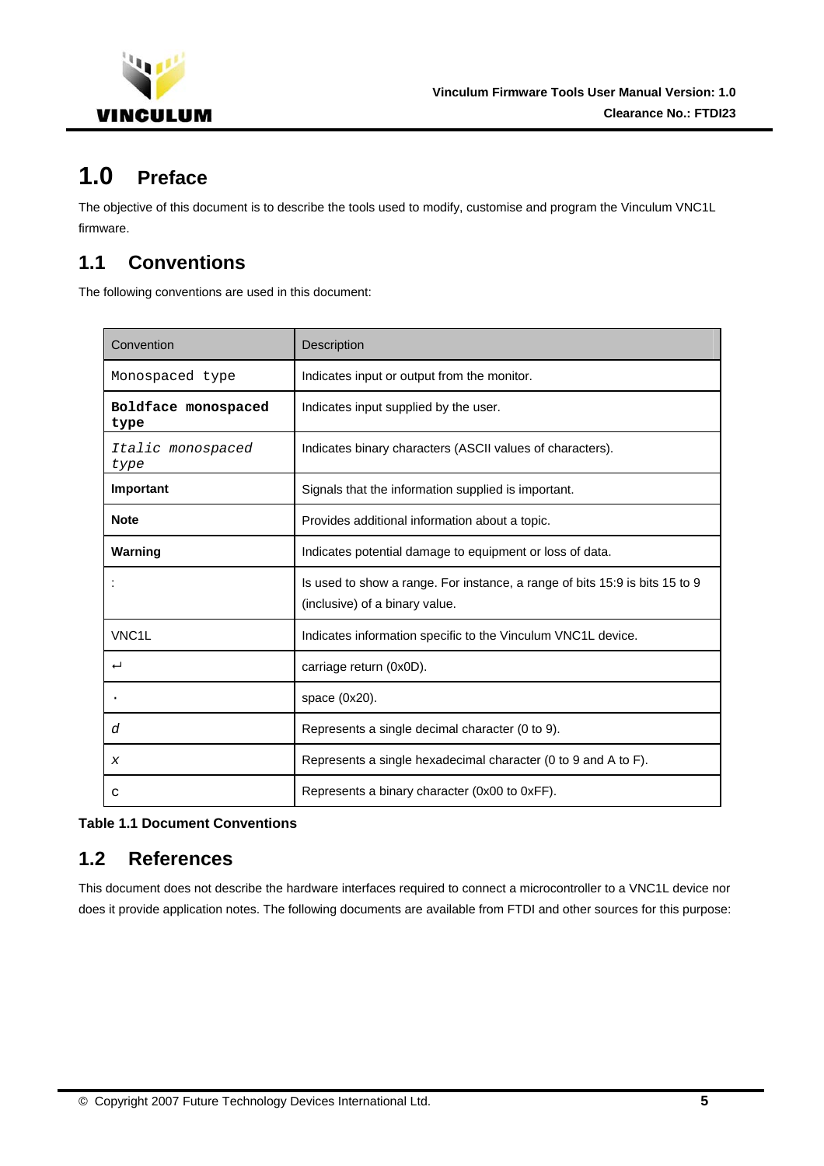<span id="page-5-0"></span>

# **1.0 Preface**

The objective of this document is to describe the tools used to modify, customise and program the Vinculum VNC1L firmware.

# **1.1 Conventions**

The following conventions are used in this document:

| Convention                  | Description                                                                                                   |
|-----------------------------|---------------------------------------------------------------------------------------------------------------|
| Monospaced type             | Indicates input or output from the monitor.                                                                   |
| Boldface monospaced<br>type | Indicates input supplied by the user.                                                                         |
| Italic monospaced<br>type   | Indicates binary characters (ASCII values of characters).                                                     |
| Important                   | Signals that the information supplied is important.                                                           |
| <b>Note</b>                 | Provides additional information about a topic.                                                                |
| Warning                     | Indicates potential damage to equipment or loss of data.                                                      |
|                             | Is used to show a range. For instance, a range of bits 15:9 is bits 15 to 9<br>(inclusive) of a binary value. |
| VNC <sub>1</sub> L          | Indicates information specific to the Vinculum VNC1L device.                                                  |
| ب                           | carriage return (0x0D).                                                                                       |
|                             | space (0x20).                                                                                                 |
| d                           | Represents a single decimal character (0 to 9).                                                               |
| X                           | Represents a single hexadecimal character (0 to 9 and A to F).                                                |
| C                           | Represents a binary character (0x00 to 0xFF).                                                                 |

#### **Table 1.1 Document Conventions**

## **1.2 References**

This document does not describe the hardware interfaces required to connect a microcontroller to a VNC1L device nor does it provide application notes. The following documents are available from FTDI and other sources for this purpose: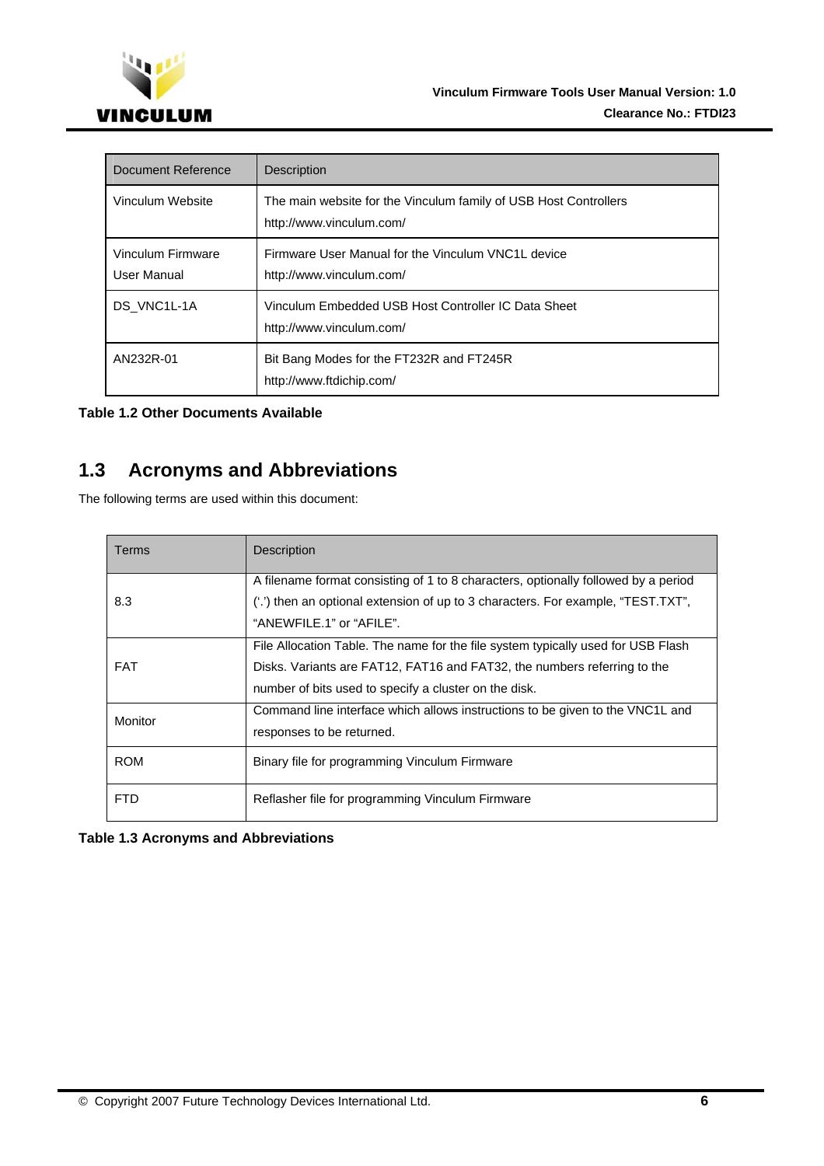<span id="page-6-0"></span>

| Document Reference               | Description                                                                                  |
|----------------------------------|----------------------------------------------------------------------------------------------|
| Vinculum Website                 | The main website for the Vinculum family of USB Host Controllers<br>http://www.vinculum.com/ |
| Vinculum Firmware<br>User Manual | Firmware User Manual for the Vinculum VNC1L device<br>http://www.vinculum.com/               |
| DS VNC1L-1A                      | Vinculum Embedded USB Host Controller IC Data Sheet<br>http://www.vinculum.com/              |
| AN232R-01                        | Bit Bang Modes for the FT232R and FT245R<br>http://www.ftdichip.com/                         |

#### **Table 1.2 Other Documents Available**

# **1.3 Acronyms and Abbreviations**

The following terms are used within this document:

| Terms      | <b>Description</b>                                                                 |
|------------|------------------------------------------------------------------------------------|
|            | A filename format consisting of 1 to 8 characters, optionally followed by a period |
| 8.3        | ('.') then an optional extension of up to 3 characters. For example, "TEST.TXT",   |
|            | "ANEWFILE.1" or "AFILE".                                                           |
|            | File Allocation Table. The name for the file system typically used for USB Flash   |
| <b>FAT</b> | Disks. Variants are FAT12, FAT16 and FAT32, the numbers referring to the           |
|            | number of bits used to specify a cluster on the disk.                              |
| Monitor    | Command line interface which allows instructions to be given to the VNC1L and      |
|            | responses to be returned.                                                          |
| <b>ROM</b> | Binary file for programming Vinculum Firmware                                      |
|            |                                                                                    |
| <b>FTD</b> | Reflasher file for programming Vinculum Firmware                                   |

#### **Table 1.3 Acronyms and Abbreviations**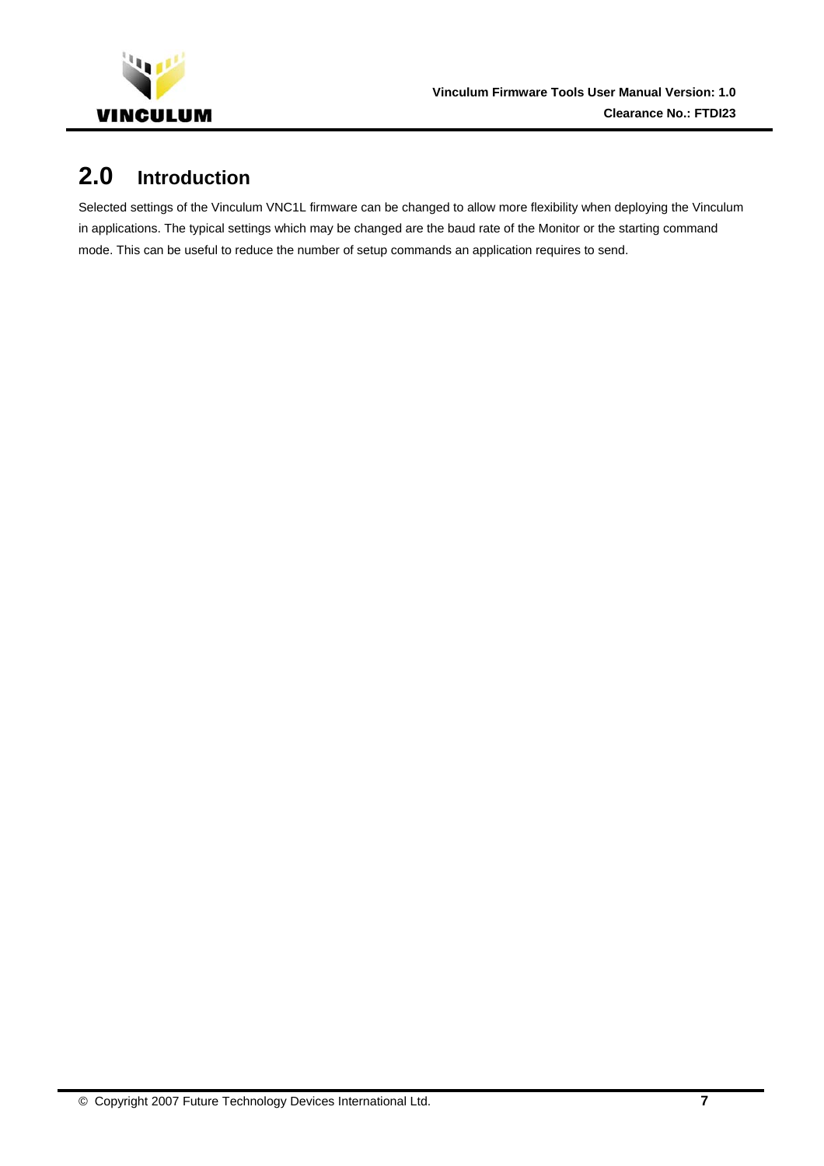<span id="page-7-0"></span>

# **2.0 Introduction**

Selected settings of the Vinculum VNC1L firmware can be changed to allow more flexibility when deploying the Vinculum in applications. The typical settings which may be changed are the baud rate of the Monitor or the starting command mode. This can be useful to reduce the number of setup commands an application requires to send.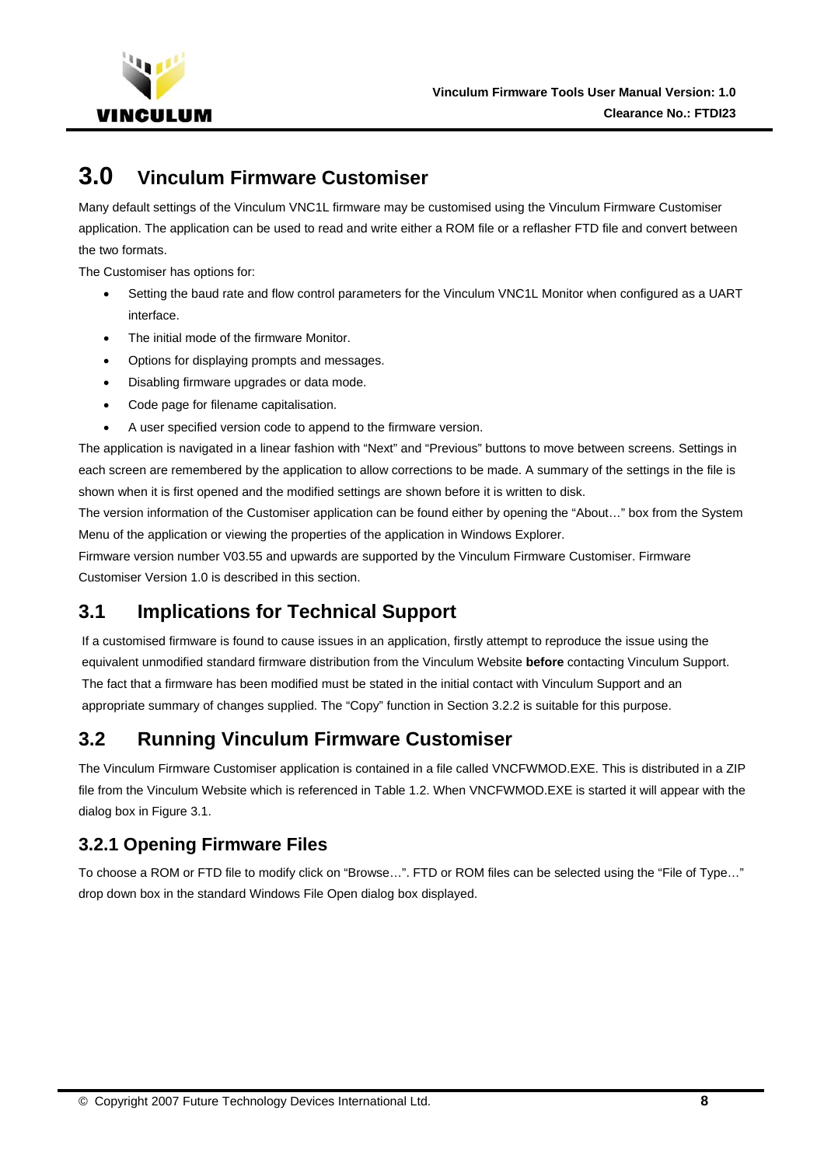<span id="page-8-0"></span>

# **3.0 Vinculum Firmware Customiser**

Many default settings of the Vinculum VNC1L firmware may be customised using the Vinculum Firmware Customiser application. The application can be used to read and write either a ROM file or a reflasher FTD file and convert between the two formats.

The Customiser has options for:

- Setting the baud rate and flow control parameters for the Vinculum VNC1L Monitor when configured as a UART interface.
- The initial mode of the firmware Monitor.
- Options for displaying prompts and messages.
- Disabling firmware upgrades or data mode.
- Code page for filename capitalisation.
- A user specified version code to append to the firmware version.

The application is navigated in a linear fashion with "Next" and "Previous" buttons to move between screens. Settings in each screen are remembered by the application to allow corrections to be made. A summary of the settings in the file is shown when it is first opened and the modified settings are shown before it is written to disk.

The version information of the Customiser application can be found either by opening the "About…" box from the System Menu of the application or viewing the properties of the application in Windows Explorer.

Firmware version number V03.55 and upwards are supported by the Vinculum Firmware Customiser. Firmware Customiser Version 1.0 is described in this section.

# **3.1 Implications for Technical Support**

If a customised firmware is found to cause issues in an application, firstly attempt to reproduce the issue using the equivalent unmodified standard firmware distribution from the Vinculum Website **before** contacting Vinculum Support. The fact that a firmware has been modified must be stated in the initial contact with Vinculum Support and an appropriate summary of changes supplied. The "Copy" function in Section [3.2.2](#page-9-1) is suitable for this purpose.

# **3.2 Running Vinculum Firmware Customiser**

The Vinculum Firmware Customiser application is contained in a file called VNCFWMOD.EXE. This is distributed in a ZIP file from the Vinculum Website which is referenced in Table 1.2. When VNCFWMOD.EXE is started it will appear with the dialog box in [Figure 3.1](#page-9-2).

## **3.2.1 Opening Firmware Files**

To choose a ROM or FTD file to modify click on "Browse…". FTD or ROM files can be selected using the "File of Type…" drop down box in the standard Windows File Open dialog box displayed.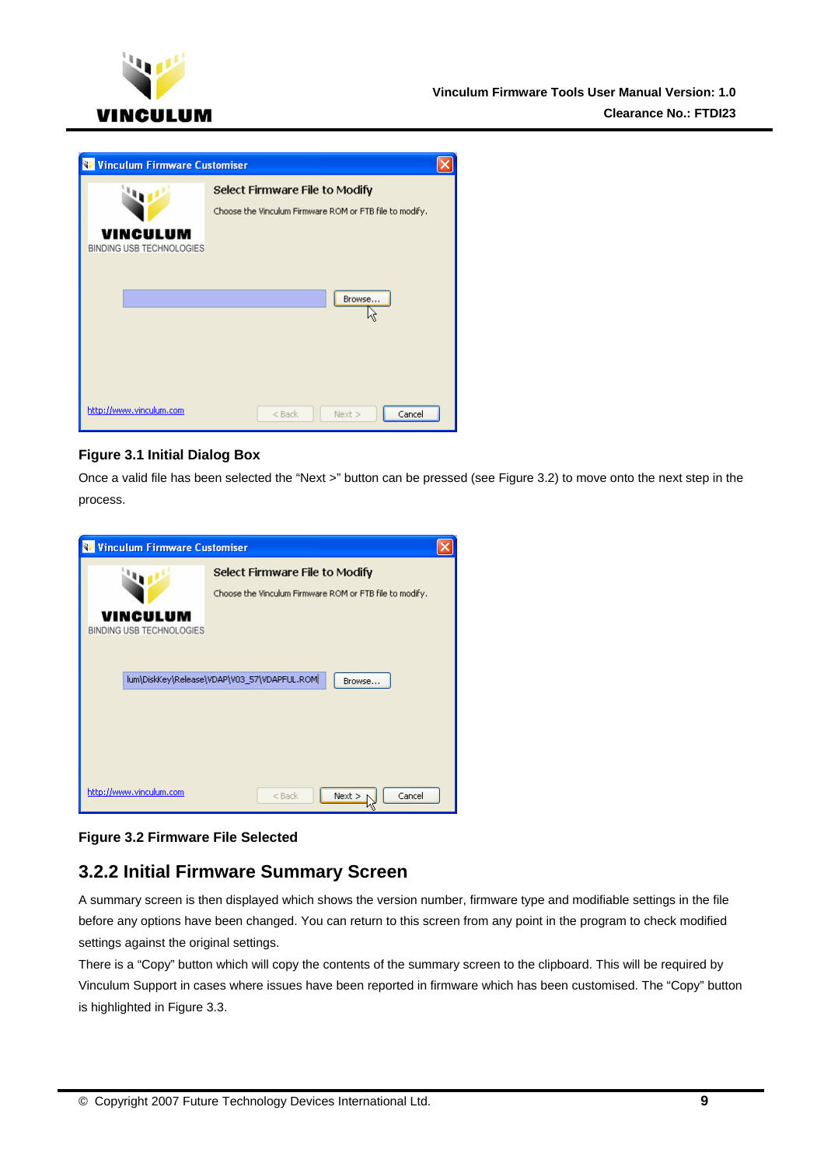<span id="page-9-0"></span>

| <b>Vinculum Firmware Customiser</b>         |                                                                                                     |  |
|---------------------------------------------|-----------------------------------------------------------------------------------------------------|--|
| <b>VINCULUM</b><br>BINDING USB TECHNOLOGIES | Select Firmware File to Modify<br>Choose the Vinculum Firmware ROM or FTB file to modify.<br>Browse |  |
| http://www.vinculum.com                     | Cancel<br>$<$ Back<br>$Next$ >                                                                      |  |

#### <span id="page-9-2"></span>**Figure 3.1 Initial Dialog Box**

Once a valid file has been selected the "Next >" button can be pressed (see [Figure 3.2\)](#page-9-3) to move onto the next step in the process.

| <b>Winculum Firmware Customiser</b>                   |                                                                                           |  |
|-------------------------------------------------------|-------------------------------------------------------------------------------------------|--|
| VINCULUM<br>BINDING USB TECHNOLOGIES                  | Select Firmware File to Modify<br>Choose the Vinculum Firmware ROM or FTB file to modify. |  |
| lum\DiskKey\Release\VDAP\V03_57\VDAPFUL.ROM<br>Browse |                                                                                           |  |
| http://www.vinculum.com                               | Next<br>Cancel<br>$<$ Back                                                                |  |

#### <span id="page-9-3"></span>**Figure 3.2 Firmware File Selected**

## <span id="page-9-1"></span>**3.2.2 Initial Firmware Summary Screen**

A summary screen is then displayed which shows the version number, firmware type and modifiable settings in the file before any options have been changed. You can return to this screen from any point in the program to check modified settings against the original settings.

There is a "Copy" button which will copy the contents of the summary screen to the clipboard. This will be required by Vinculum Support in cases where issues have been reported in firmware which has been customised. The "Copy" button is highlighted in [Figure 3.3.](#page-10-1)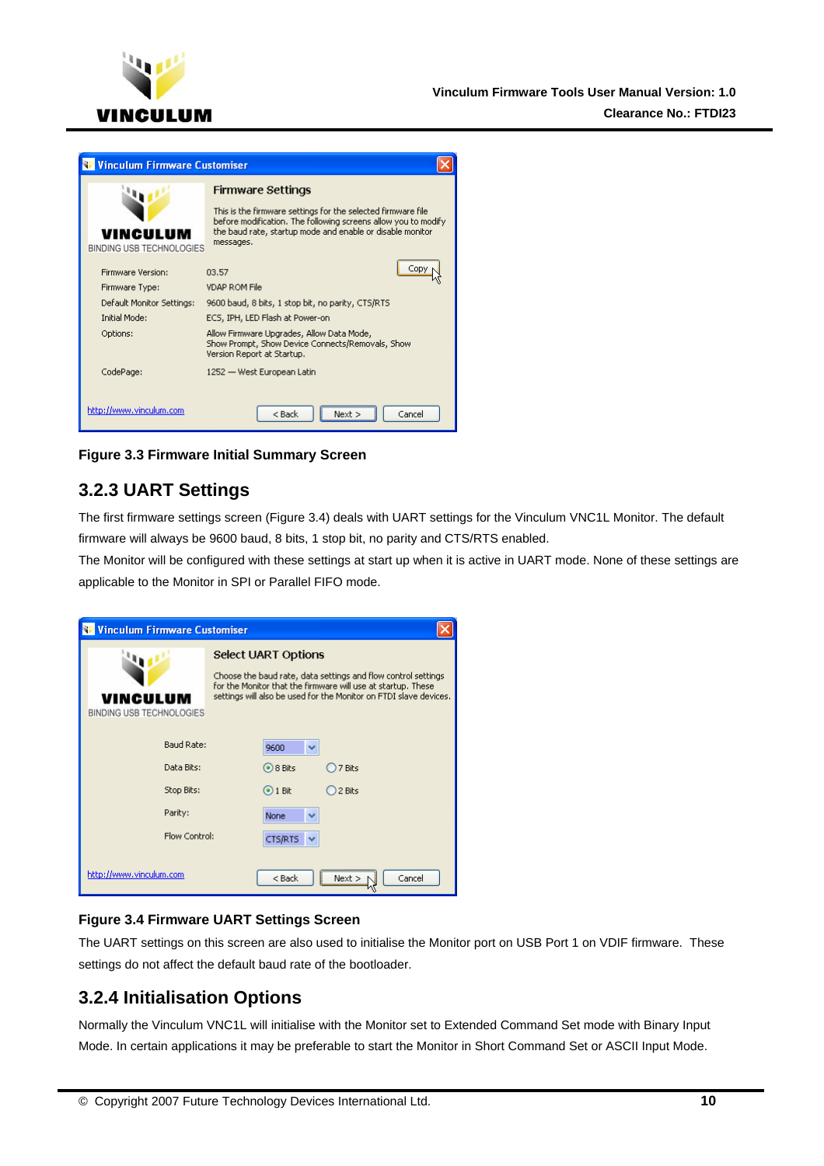<span id="page-10-0"></span>

| <b>Vinculum Firmware Customiser</b>  |                                                                                                                                                                                                          |  |
|--------------------------------------|----------------------------------------------------------------------------------------------------------------------------------------------------------------------------------------------------------|--|
|                                      | Firmware Settings                                                                                                                                                                                        |  |
| VINCULUM<br>BINDING USB TECHNOLOGIES | This is the firmware settings for the selected firmware file<br>before modification. The following screens allow you to modify<br>the baud rate, startup mode and enable or disable monitor<br>messages. |  |
|                                      |                                                                                                                                                                                                          |  |
| Firmware Version:                    | 03.57                                                                                                                                                                                                    |  |
| Firmware Type:                       | <b>VDAP ROM File</b>                                                                                                                                                                                     |  |
| Default Monitor Settings:            | 9600 baud, 8 bits, 1 stop bit, no parity, CTS/RTS                                                                                                                                                        |  |
| <b>Initial Mode:</b>                 | ECS, IPH, LED Flash at Power-on                                                                                                                                                                          |  |
| Options:                             | Allow Firmware Upgrades, Allow Data Mode,<br>Show Prompt, Show Device Connects/Removals, Show<br>Version Report at Startup.                                                                              |  |
| CodePage:                            | 1252 — West European Latin                                                                                                                                                                               |  |
| http://www.vinculum.com              | $<$ Back<br>Cancel<br>Nevt b                                                                                                                                                                             |  |

<span id="page-10-1"></span>**Figure 3.3 Firmware Initial Summary Screen** 

## **3.2.3 UART Settings**

The first firmware settings screen ([Figure 3.4](#page-10-2)) deals with UART settings for the Vinculum VNC1L Monitor. The default firmware will always be 9600 baud, 8 bits, 1 stop bit, no parity and CTS/RTS enabled.

The Monitor will be configured with these settings at start up when it is active in UART mode. None of these settings are applicable to the Monitor in SPI or Parallel FIFO mode.

| <b>Winculum Firmware Customiser</b>           |                                                                                                                                                                                                                           |  |
|-----------------------------------------------|---------------------------------------------------------------------------------------------------------------------------------------------------------------------------------------------------------------------------|--|
| VINCULUM<br>BINDING USB TECHNOLOGIES          | Select UART Options<br>Choose the baud rate, data settings and flow control settings<br>for the Monitor that the firmware will use at startup. These<br>settings will also be used for the Monitor on FTDI slave devices. |  |
| <b>Baud Rate:</b><br>Data Bits:<br>Stop Bits: | 9600<br>⊙8 Bits<br>27 Bits<br>$\odot$ 1 Bit<br>2 Bits                                                                                                                                                                     |  |
| Parity:<br>Flow Control:                      | None<br>CTS/RTS                                                                                                                                                                                                           |  |
| http://www.vinculum.com                       | $<$ Back<br>Cancel<br>$Next$ >                                                                                                                                                                                            |  |

#### <span id="page-10-2"></span>**Figure 3.4 Firmware UART Settings Screen**

The UART settings on this screen are also used to initialise the Monitor port on USB Port 1 on VDIF firmware. These settings do not affect the default baud rate of the bootloader.

## **3.2.4 Initialisation Options**

Normally the Vinculum VNC1L will initialise with the Monitor set to Extended Command Set mode with Binary Input Mode. In certain applications it may be preferable to start the Monitor in Short Command Set or ASCII Input Mode.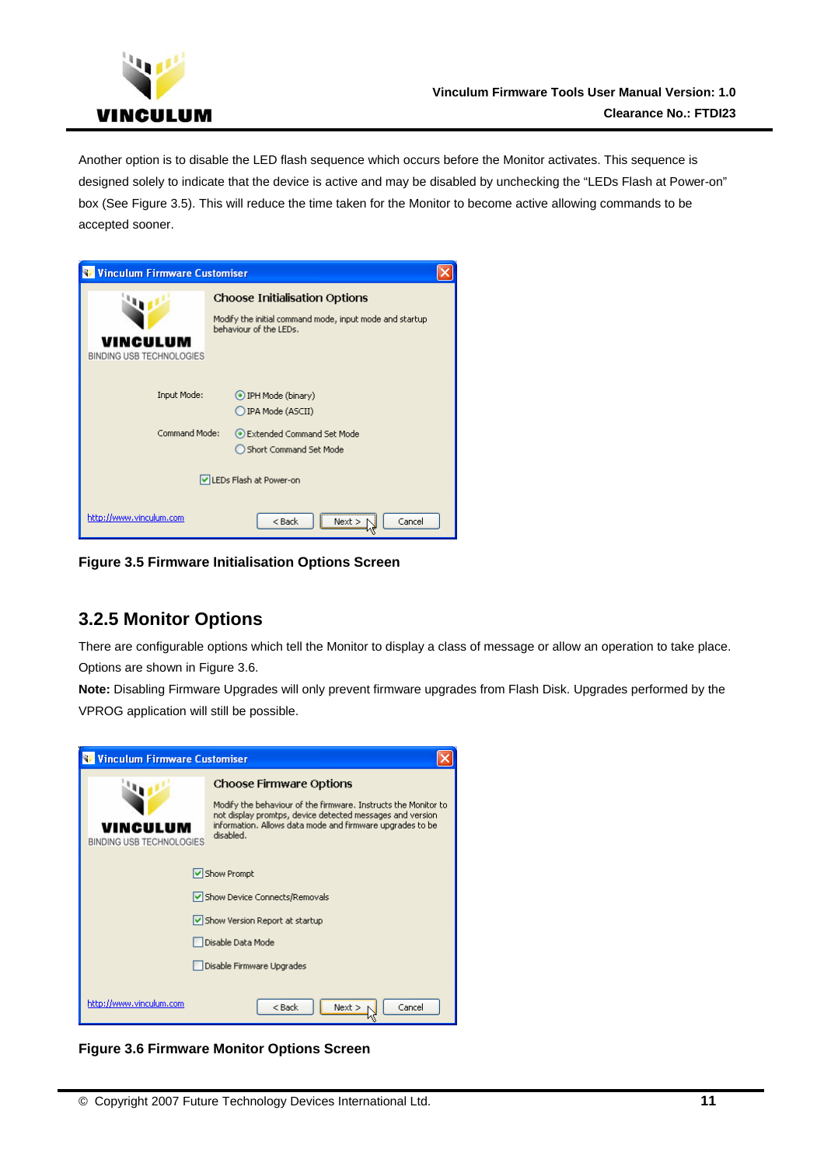<span id="page-11-0"></span>

Another option is to disable the LED flash sequence which occurs before the Monitor activates. This sequence is designed solely to indicate that the device is active and may be disabled by unchecking the "LEDs Flash at Power-on" box (See [Figure 3.5\)](#page-11-1). This will reduce the time taken for the Monitor to become active allowing commands to be accepted sooner.

| <b>Winculum Firmware Customiser</b>                                  |                                                                                                                           |
|----------------------------------------------------------------------|---------------------------------------------------------------------------------------------------------------------------|
| /INCULUM<br>BINDING USB TECHNOLOGIES                                 | <b>Choose Initialisation Options</b><br>Modify the initial command mode, input mode and startup<br>behaviour of the LEDs. |
| Input Mode:                                                          | IPH Mode (binary)<br>IPA Mode (ASCII)                                                                                     |
| Command Mode:<br>Extended Command Set Mode<br>Short Command Set Mode |                                                                                                                           |
| LEDs Flash at Power-on                                               |                                                                                                                           |
| http://www.vinculum.com                                              | $<$ Back<br>Cancel<br>$Next$ >                                                                                            |

<span id="page-11-1"></span>**Figure 3.5 Firmware Initialisation Options Screen** 

## **3.2.5 Monitor Options**

There are configurable options which tell the Monitor to display a class of message or allow an operation to take place. Options are shown in [Figure 3.6](#page-11-2).

**Note:** Disabling Firmware Upgrades will only prevent firmware upgrades from Flash Disk. Upgrades performed by the VPROG application will still be possible.

| <b>Winculum Firmware Customiser</b>                             |                                                                                                                                                                                                                                         |
|-----------------------------------------------------------------|-----------------------------------------------------------------------------------------------------------------------------------------------------------------------------------------------------------------------------------------|
| VINCULUM<br><b>BINDING USB TECHNOLOGIES</b>                     | <b>Choose Firmware Options</b><br>Modify the behaviour of the firmware. Instructs the Monitor to<br>not display promtps, device detected messages and version<br>information. Allows data mode and firmware upgrades to be<br>disabled. |
| Show Prompt                                                     |                                                                                                                                                                                                                                         |
| Show Device Connects/Removals<br>Show Version Report at startup |                                                                                                                                                                                                                                         |
| Disable Data Mode                                               |                                                                                                                                                                                                                                         |
|                                                                 | Disable Firmware Upgrades                                                                                                                                                                                                               |
| http://www.vinculum.com                                         | Cancel<br>$<$ Back<br>Next                                                                                                                                                                                                              |

<span id="page-11-2"></span>**Figure 3.6 Firmware Monitor Options Screen**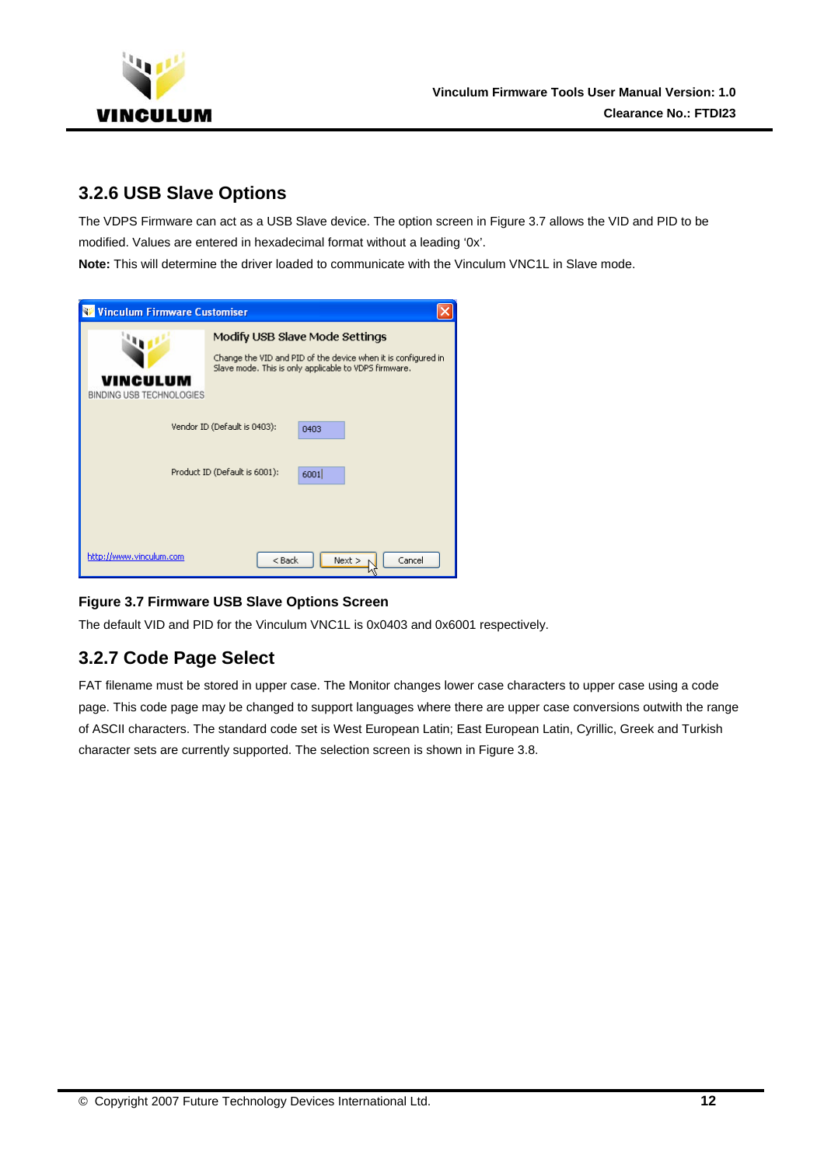<span id="page-12-0"></span>

## **3.2.6 USB Slave Options**

The VDPS Firmware can act as a USB Slave device. The option screen in [Figure 3.7](#page-12-1) allows the VID and PID to be modified. Values are entered in hexadecimal format without a leading '0x'.

**Note:** This will determine the driver loaded to communicate with the Vinculum VNC1L in Slave mode.

| <b>Vinculum Firmware Customiser</b>                       |                                                                                                                                                          |
|-----------------------------------------------------------|----------------------------------------------------------------------------------------------------------------------------------------------------------|
| NCULUM<br><b>BINDING USB TECHNOLOGIES</b>                 | Modify USB Slave Mode Settings<br>Change the VID and PID of the device when it is configured in<br>Slave mode. This is only applicable to VDPS firmware. |
| Vendor ID (Default is 0403):<br>0403                      |                                                                                                                                                          |
| Product ID (Default is 6001):<br>6001                     |                                                                                                                                                          |
| http://www.vinculum.com<br>$<$ Back<br>Cancel<br>$Next$ > |                                                                                                                                                          |

#### <span id="page-12-1"></span>**Figure 3.7 Firmware USB Slave Options Screen**

The default VID and PID for the Vinculum VNC1L is 0x0403 and 0x6001 respectively.

## **3.2.7 Code Page Select**

FAT filename must be stored in upper case. The Monitor changes lower case characters to upper case using a code page. This code page may be changed to support languages where there are upper case conversions outwith the range of ASCII characters. The standard code set is West European Latin; East European Latin, Cyrillic, Greek and Turkish character sets are currently supported. The selection screen is shown in [Figure 3.8](#page-13-1).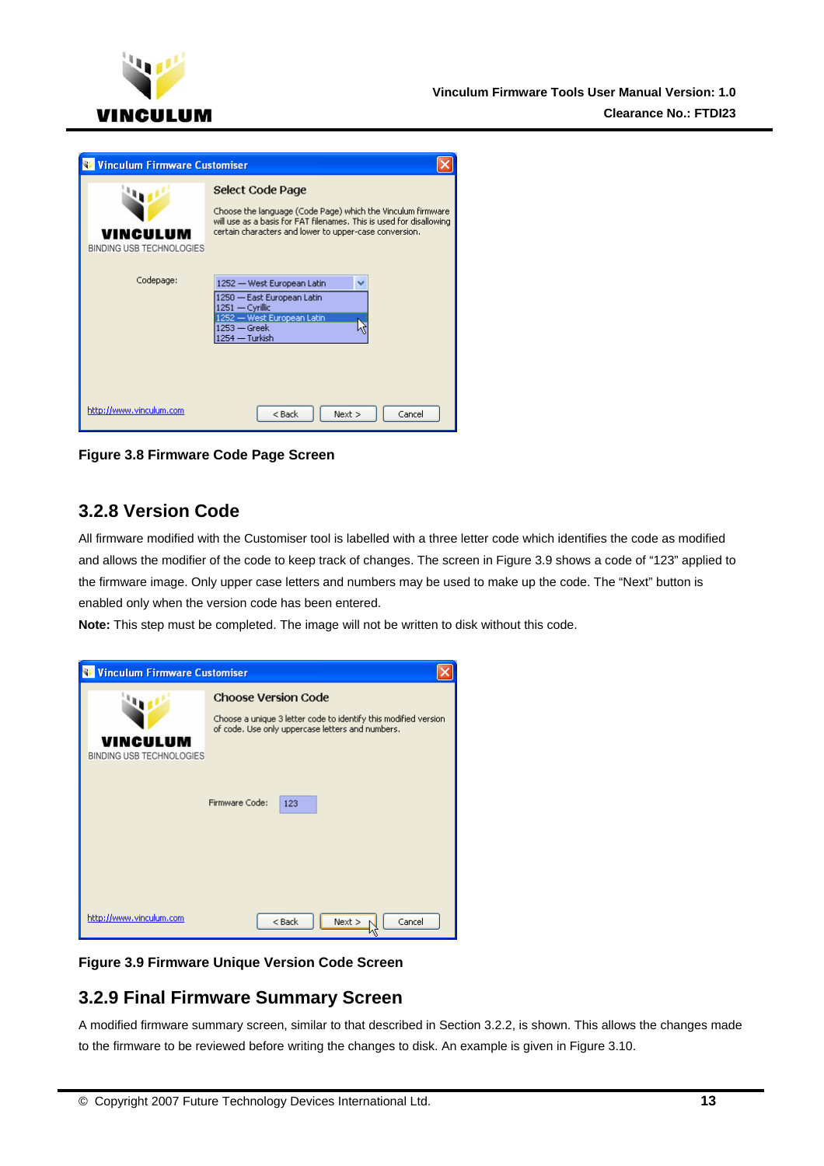<span id="page-13-0"></span>

| <b>Vinculum Firmware Customiser</b>  |                                                                                                                                                                                                                  |
|--------------------------------------|------------------------------------------------------------------------------------------------------------------------------------------------------------------------------------------------------------------|
| /INCULUM<br>BINDING USB TECHNOLOGIES | Select Code Page<br>Choose the language (Code Page) which the Vinculum firmware<br>will use as a basis for FAT filenames. This is used for disallowing<br>certain characters and lower to upper-case conversion. |
| Codepage:                            | 1252 - West European Latin<br>v<br>1250 - East European Latin<br>1251 - Cyrillic<br>1252 - West European Latin<br>$1253 - $ Greek<br>1254 - Turkish                                                              |
| http://www.vinculum.com              | $<$ Back<br>Cancel<br>Next                                                                                                                                                                                       |

<span id="page-13-1"></span>**Figure 3.8 Firmware Code Page Screen** 

## **3.2.8 Version Code**

All firmware modified with the Customiser tool is labelled with a three letter code which identifies the code as modified and allows the modifier of the code to keep track of changes. The screen in [Figure 3.9](#page-13-2) shows a code of "123" applied to the firmware image. Only upper case letters and numbers may be used to make up the code. The "Next" button is enabled only when the version code has been entered.

**Note:** This step must be completed. The image will not be written to disk without this code.

| <b>Winculum Firmware Customiser</b>  |                                                                                                                                                                                   |
|--------------------------------------|-----------------------------------------------------------------------------------------------------------------------------------------------------------------------------------|
| VINCULUM<br>BINDING USB TECHNOLOGIES | <b>Choose Version Code</b><br>Choose a unique 3 letter code to identify this modified version<br>of code. Use only uppercase letters and numbers.<br><b>Eirmware Code:</b><br>123 |
| http://www.vinculum.com              | Next<br>Cancel<br>$<$ Back                                                                                                                                                        |

<span id="page-13-2"></span>**Figure 3.9 Firmware Unique Version Code Screen** 

## **3.2.9 Final Firmware Summary Screen**

A modified firmware summary screen, similar to that described in Section [3.2.2,](#page-9-1) is shown. This allows the changes made to the firmware to be reviewed before writing the changes to disk. An example is given in [Figure 3.10.](#page-14-1)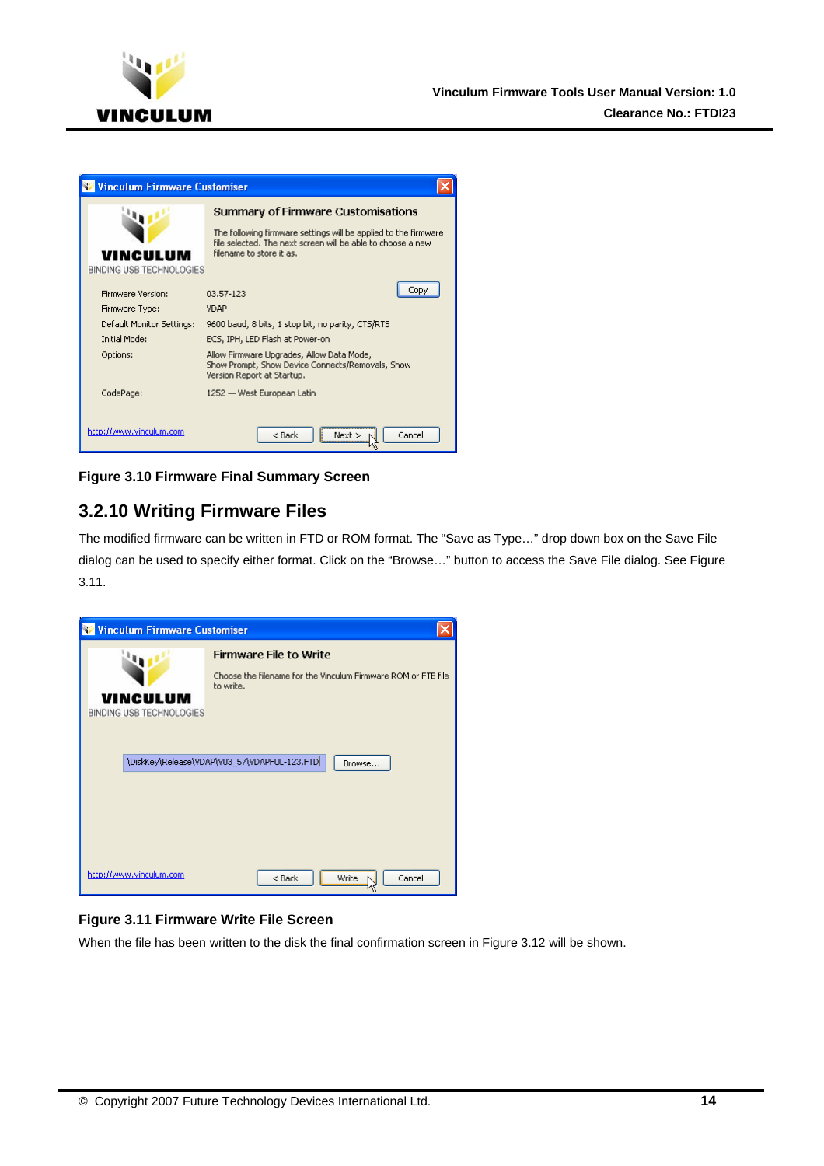<span id="page-14-0"></span>

| <b>Winculum Firmware Customiser</b> |                                                                                                                                                            |
|-------------------------------------|------------------------------------------------------------------------------------------------------------------------------------------------------------|
|                                     | Summary of Firmware Customisations                                                                                                                         |
| VINCULUM                            | The following firmware settings will be applied to the firmware<br>file selected. The next screen will be able to choose a new<br>filename to store it as. |
| <b>BINDING USB TECHNOLOGIES</b>     |                                                                                                                                                            |
| Firmware Version:                   | Copy<br>03.57-123                                                                                                                                          |
| Firmware Type:                      | <b>VDAP</b>                                                                                                                                                |
| Default Monitor Settings:           | 9600 baud, 8 bits, 1 stop bit, no parity, CTS/RTS                                                                                                          |
| <b>Initial Mode:</b>                | ECS, IPH, LED Flash at Power-on                                                                                                                            |
| Options:                            | Allow Firmware Upgrades, Allow Data Mode,<br>Show Prompt, Show Device Connects/Removals, Show<br>Version Report at Startup.                                |
| CodePage:                           | 1252 — West European Latin                                                                                                                                 |
|                                     |                                                                                                                                                            |
| http://www.vinculum.com             | $<$ Back<br>Cancel<br>Next >                                                                                                                               |

<span id="page-14-1"></span>**Figure 3.10 Firmware Final Summary Screen** 

## **3.2.10 Writing Firmware Files**

The modified firmware can be written in FTD or ROM format. The "Save as Type…" drop down box on the Save File dialog can be used to specify either format. Click on the "Browse…" button to access the Save File dialog. See [Figure](#page-14-2)  [3.11](#page-14-2).



#### <span id="page-14-2"></span>**Figure 3.11 Firmware Write File Screen**

When the file has been written to the disk the final confirmation screen in [Figure 3.12](#page-15-1) will be shown.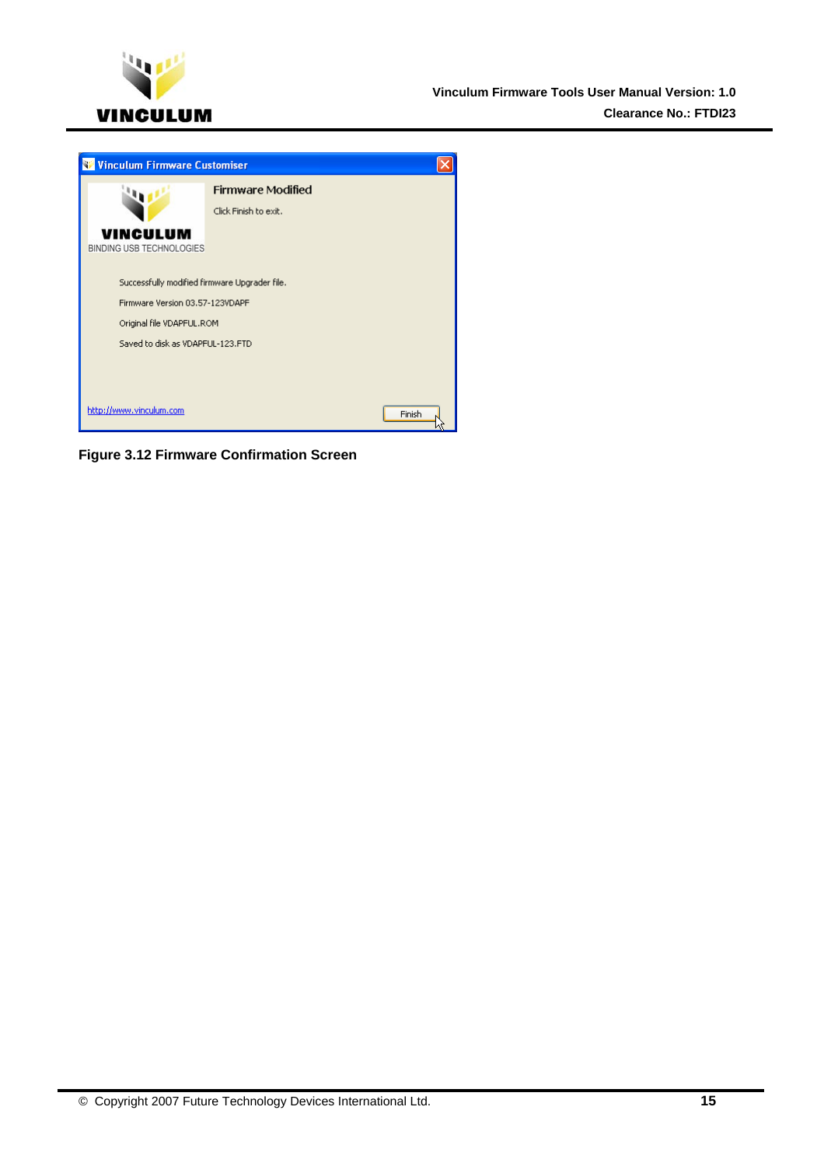<span id="page-15-0"></span>

<span id="page-15-1"></span>

**Figure 3.12 Firmware Confirmation Screen**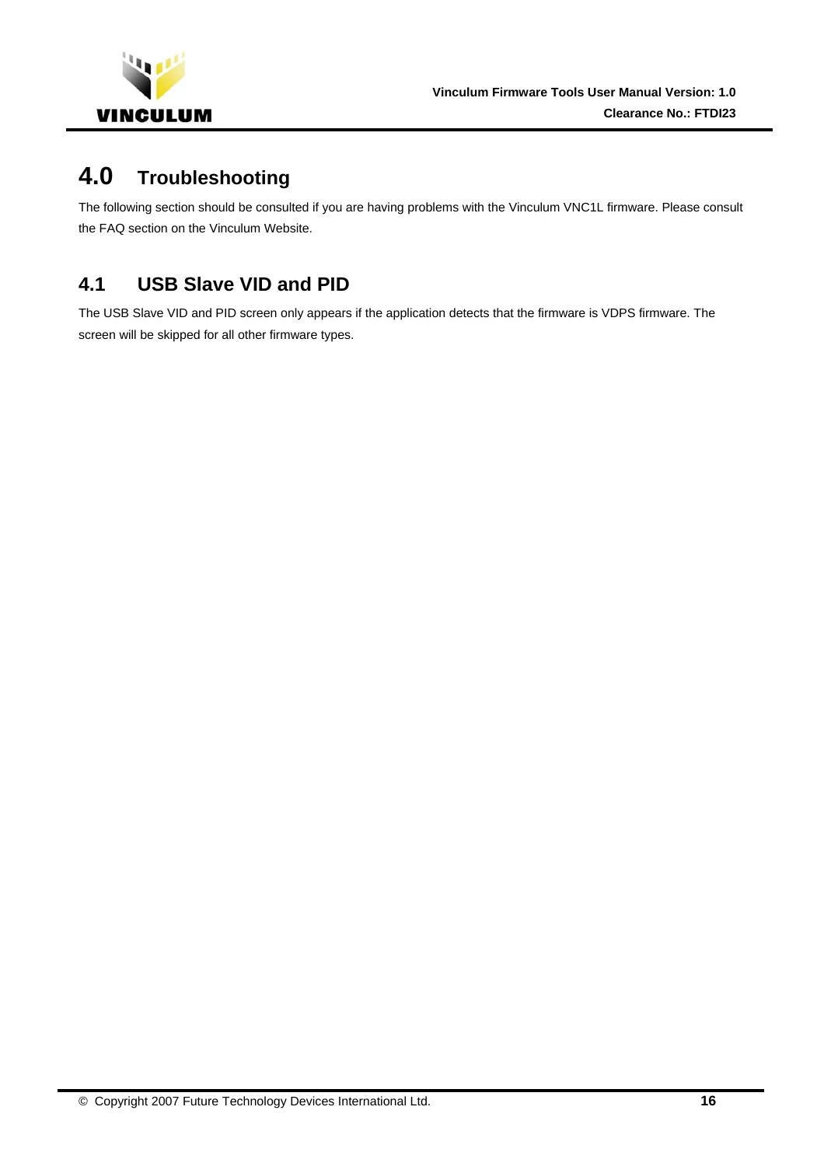<span id="page-16-0"></span>

# **4.0 Troubleshooting**

The following section should be consulted if you are having problems with the Vinculum VNC1L firmware. Please consult the FAQ section on the Vinculum Website.

# **4.1 USB Slave VID and PID**

The USB Slave VID and PID screen only appears if the application detects that the firmware is VDPS firmware. The screen will be skipped for all other firmware types.